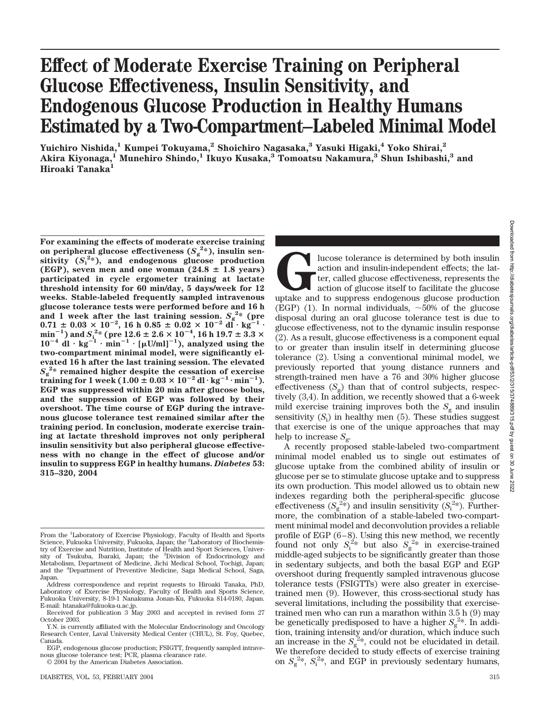# **Effect of Moderate Exercise Training on Peripheral Glucose Effectiveness, Insulin Sensitivity, and Endogenous Glucose Production in Healthy Humans Estimated by a Two-Compartment–Labeled Minimal Model**

**Yuichiro Nishida,1 Kumpei Tokuyama,2 Shoichiro Nagasaka,3 Yasuki Higaki,4 Yoko Shirai,2 Akira Kiyonaga,1 Munehiro Shindo,1 Ikuyo Kusaka,3 Tomoatsu Nakamura,3 Shun Ishibashi,3 and Hiroaki Tanaka1**

**For examining the effects of moderate exercise training** on peripheral glucose effectiveness  $(S_g^{2*})$ , insulin sen $s$ **itivity**  $(S_i^2*)$ , and endogenous glucose production (EGP), seven men and one woman  $(24.8 \pm 1.8 \text{ years})$ **participated in cycle ergometer training at lactate threshold intensity for 60 min/day, 5 days/week for 12 weeks. Stable-labeled frequently sampled intravenous glucose tolerance tests were performed before and 16 h** and 1 week after the last training session.  $S_g^{2*}$  (pre  $0.71 \pm 0.03 \times 10^{-2}$ , 16 h  $0.85 \pm 0.02 \times 10^{-2}$  dl<sup>2</sup> · kg<sup>2-1</sup> · min<sup>-1</sup>) and  $S_1^{2*}$  (pre 12.6  $\pm$  2.6  $\times$  10<sup>-4</sup>, 16 h 19.7  $\pm$  3.3  $\times$ <br>10<sup>-4</sup> dl·kg<sup>-1</sup>·min<sup>-1</sup>·[µU/ml]<sup>-1</sup>), analyzed using the **two-compartment minimal model, were significantly elevated 16 h after the last training session. The elevated**  $S_g^{2*}$  remained higher despite the cessation of exercise  $\text{training for 1 week} (1.00 \pm 0.03 \times 10^{-2} \text{ dl} \cdot \text{kg}^{-1} \cdot \text{min}^{-1}).$ **EGP was suppressed within 20 min after glucose bolus, and the suppression of EGP was followed by their overshoot. The time course of EGP during the intravenous glucose tolerance test remained similar after the training period. In conclusion, moderate exercise training at lactate threshold improves not only peripheral insulin sensitivity but also peripheral glucose effectiveness with no change in the effect of glucose and/or insulin to suppress EGP in healthy humans.** *Diabetes* **53: 315–320, 2004**

© 2004 by the American Diabetes Association.

**Glucose** tolerance is determined by both insulin action and insulin-independent effects; the latter, called glucose effectiveness, represents the action of glucose itself to facilitate the glucose uptake and to suppress e action and insulin-independent effects; the latter, called glucose effectiveness, represents the action of glucose itself to facilitate the glucose (EGP) (1). In normal individuals,  $\sim 50\%$  of the glucose disposal during an oral glucose tolerance test is due to glucose effectiveness, not to the dynamic insulin response (2). As a result, glucose effectiveness is a component equal to or greater than insulin itself in determining glucose tolerance (2). Using a conventional minimal model, we previously reported that young distance runners and strength-trained men have a 76 and 30% higher glucose effectiveness  $(S_g)$  than that of control subjects, respectively (3,4). In addition, we recently showed that a 6-week mild exercise training improves both the  $S<sub>g</sub>$  and insulin sensitivity (*S*<sup>i</sup> ) in healthy men (5). These studies suggest that exercise is one of the unique approaches that may help to increase  $S_g$ .

A recently proposed stable-labeled two*-*compartment minimal model enabled us to single out estimates of glucose uptake from the combined ability of insulin or glucose per se to stimulate glucose uptake and to suppress its own production. This model allowed us to obtain new indexes regarding both the peripheral-specific glucose effectiveness  $(S_g^{2*})$  and insulin sensitivity  $(S_i^{2*})$ . Furthermore, the combination of a stable-labeled two-compartment minimal model and deconvolution provides a reliable profile of EGP (6–8). Using this new method, we recently found not only  $S_i^{2*}$  but also  $S_g^{2*}$  in exercise-trained middle-aged subjects to be significantly greater than those in sedentary subjects, and both the basal EGP and EGP overshoot during frequently sampled intravenous glucose tolerance tests (FSIGTTs) were also greater in exercisetrained men (9). However, this cross-sectional study has several limitations, including the possibility that exercisetrained men who can run a marathon within 3.5 h (9) may be genetically predisposed to have a higher  $S_g^{2*}$ . In addition, training intensity and/or duration, which induce such an increase in the  $S_g^{\,2*}$ , could not be elucidated in detail. We therefore decided to study effects of exercise training on  $S_g^{2*}$ ,  $S_i^{2*}$ , and EGP in previously sedentary humans,

From the <sup>1</sup>Laboratory of Exercise Physiology, Faculty of Health and Sports Science, Fukuoka University, Fukuoka, Japan; the <sup>2</sup>Laboratory of Biochemistry of Exercise and Nutrition, Institute of Health and Sport Sciences, University of Tsukuba, Ibaraki, Japan; the <sup>3</sup>Division of Endocrinology and Metabolism, Department of Medicine, Jichi Medical School, Tochigi, Japan; and the <sup>4</sup> Department of Preventive Medicine, Saga Medical School, Saga, Japan.

Address correspondence and reprint requests to Hiroaki Tanaka, PhD, Laboratory of Exercise Physiology, Faculty of Health and Sports Science, Fukuoka University, 8-19-1 Nanakuma Jonan-Ku, Fukuoka 814-0180, Japan. E-mail: htanaka@fukuoka-u.ac.jp.

Received for publication 3 May 2003 and accepted in revised form 27 October 2003.

Y.N. is currently affiliated with the Molecular Endocrinology and Oncology Research Center, Laval University Medical Center (CHUL), St. Foy, Quebec, Canada.

EGP, endogenous glucose production; FSIGTT, frequently sampled intravenous glucose tolerance test; PCR, plasma clearance rate.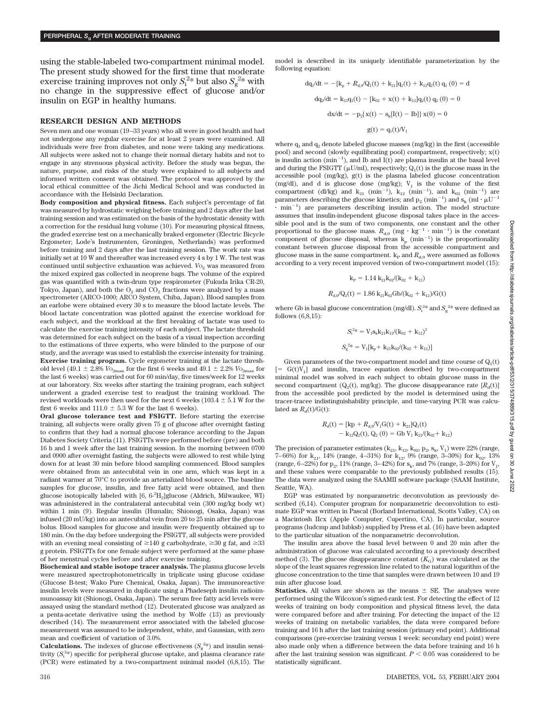using the stable-labeled two-compartment minimal model. The present study showed for the first time that moderate exercise training improves not only  $S_i^{2*}$  but also  $S_g^{2*}$  with no change in the suppressive effect of glucose and/or insulin on EGP in healthy humans.

#### **RESEARCH DESIGN AND METHODS**

Seven men and one woman (19–33 years) who all were in good health and had not undergone any regular exercise for at least 2 years were examined. All individuals were free from diabetes, and none were taking any medications. All subjects were asked not to change their normal dietary habits and not to engage in any strenuous physical activity. Before the study was begun, the nature, purpose, and risks of the study were explained to all subjects and informed written consent was obtained. The protocol was approved by the local ethical committee of the Jichi Medical School and was conducted in accordance with the Helsinki Declaration.

**Body composition and physical fitness.** Each subject's percentage of fat was measured by hydrostatic weighing before training and 2 days after the last training session and was estimated on the basis of the hydrostatic density with a correction for the residual lung volume (10). For measuring physical fitness, the graded exercise test on a mechanically braked ergometer (Electric Bicycle Ergometer; Lode's Instrumenten, Groningen, Netherlands) was performed before training and 2 days after the last training session. The work rate was initially set at 10 W and thereafter was increased every 4 s by 1 W. The test was continued until subjective exhaustion was achieved.  $V_{{\rm O}_2}$  was measured from the mixed expired gas collected in neoprene bags. The volume of the expired gas was quantified with a twin-drum type respirometer (Fukuda Irika CR-20, Tokyo, Japan), and both the  $O_2$  and  $CO_2$  fractions were analyzed by a mass spectrometer (ARCO-1000; ARCO System, Chiba, Japan). Blood samples from an earlobe were obtained every 30 s to measure the blood lactate levels. The blood lactate concentration was plotted against the exercise workload for each subject, and the workload at the first breaking of lactate was used to calculate the exercise training intensity of each subject. The lactate threshold was determined for each subject on the basis of a visual inspection according to the estimations of three experts, who were blinded to the purpose of our study, and the average was used to establish the exercise intensity for training. **Exercise training program.** Cycle ergometer training at the lactate threshold level (49.1  $\pm$  2.8%  $\mathit{Vo}_{\rm 2max}$  for the first 6 weeks and 49.1  $\pm$  2.2%  $\mathit{Vo}_{\rm 2max}$  for the last 6 weeks) was carried out for 60 min/day, five times/week for 12 weeks at our laboratory. Six weeks after starting the training program, each subject underwent a graded exercise test to readjust the training workload. The revised workloads were then used for the next 6 weeks (103.4  $\pm$  5.1 W for the first 6 weeks and  $111.0 \pm 5.3$  W for the last 6 weeks).

**Oral glucose tolerance test and FSIGTT.** Before starting the exercise training, all subjects were orally given 75 g of glucose after overnight fasting to confirm that they had a normal glucose tolerance according to the Japan Diabetes Society Criteria (11). FSIGTTs were performed before (pre) and both 16 h and 1 week after the last training session. In the morning between 0700 and 0900 after overnight fasting, the subjects were allowed to rest while lying down for at least 30 min before blood sampling commenced. Blood samples were obtained from an antecubital vein in one arm, which was kept in a radiant warmer at 70°C to provide an arterialized blood source. The baseline samples for glucose, insulin, and free fatty acid were obtained, and then glucose isotopically labeled with  $[6,\,6^\mathrm{-2}H_2]$  glucose (Aldrich, Milwaukee, WI) was administered in the contralateral antecubital vein (300 mg/kg body wt) within 1 min (9). Regular insulin (Humalin; Shionogi, Osaka, Japan) was infused (20 mU/kg) into an antecubital vein from 20 to 25 min after the glucose bolus. Blood samples for glucose and insulin were frequently obtained up to 180 min. On the day before undergoing the FSIGTT, all subjects were provided with an evening meal consisting of  $\geq$ 140 g carbohydrate,  $\geq$ 30 g fat, and  $\geq$ 33 g protein. FSIGTTs for one female subject were performed at the same phase of her menstrual cycles before and after exercise training.

**Biochemical and stable isotope tracer analysis.** The plasma glucose levels were measured spectrophotometrically in triplicate using glucose oxidase (Glucose B-test; Wako Pure Chemical, Osaka, Japan). The immunoreactive insulin levels were measured in duplicate using a Phadeseph insulin radioimmunoassay kit (Shionogi, Osaka, Japan). The serum free fatty acid levels were assayed using the standard method (12). Deuterated glucose was analyzed as a penta-acetate derivative using the method by Wolfe (13) as previously described (14). The measurement error associated with the labeled glucose measurement was assumed to be independent, white, and Gaussian, with zero mean and coefficient of variation of 3.0%.

**Calculations.** The indexes of glucose effectiveness  $(S_g^{2*})$  and insulin sensitivity  $(S_i^2)$  specific for peripheral glucose uptake, and plasma clearance rate (PCR) were estimated by a two-compartment minimal model (6,8,15). The model is described in its uniquely identifiable parameterization by the following equation:

$$
dq_{1}/dt = -[k_{p} + R_{d,0}/Q_{1}(t) + k_{21}]q_{1}(t) + k_{12}q_{2}(t) q_{1}(0) = d
$$
  

$$
dq_{2}/dt = k_{21}q_{1}(t) - [k_{02} + x(t) + k_{12}]q_{2}(t) q_{2}(0) = 0
$$
  

$$
dx/dt = -p_{2}[x(t) - s_{k}[I(t) - Ib]] x(0) = 0
$$
  

$$
g(t) = q_{1}(t)/V_{1}
$$

where  $q_1$  and  $q_2$  denote labeled glucose masses (mg/kg) in the first (accessible pool) and second (slowly equilibrating pool) compartment, respectively; x(t) is insulin action  $(min^{-1})$ , and Ib and I(t) are plasma insulin at the basal level and during the FSIGTT ( $\mu$ U/ml), respectively;  $Q_1(t)$  is the glucose mass in the accessible pool (mg/kg), g(t) is the plasma labeled glucose concentration (mg/dl), and d is glucose dose (mg/kg);  $V_1$  is the volume of the first compartment (dl/kg) and  $k_{21}$  (min<sup>-1</sup>),  $k_{12}$  (min<sup>-1</sup>), and  $k_{02}$  (min<sup>-1</sup>) are parameters describing the glucose kinetics; and  $\rm p_2$  (min $^{-1}$ ) and  $\rm s_k$  (ml  $\cdot$   $\rm \mu U^{-1}$  $\cdot$  min<sup>-1</sup>) are parameters describing insulin action. The model structure assumes that insulin-independent glucose disposal takes place in the accessible pool and is the sum of two components, one constant and the other proportional to the glucose mass.  $R_{d,0}$  (mg  $\cdot$  kg<sup>-1</sup>  $\cdot$  min<sup>-1</sup>) is the constant component of glucose disposal, whereas  $k_p$  (min<sup>-1</sup>) is the proportionality constant between glucose disposal from the accessible compartment and glucose mass in the same compartment.  $k_P$  and  $R_{d,0}$  were assumed as follows according to a very recent improved version of two-compartment model (15):

$$
k_P=1.14\; k_{21}k_{02}/(k_{02}+k_{12})
$$
  

$$
R_{d,0}/Q_1(t)=1.86\; k_{21}k_{02}Gb/(k_{02}+k_{12})/G(t)
$$

where Gb is basal glucose concentration (mg/dl).  $S_i^{2*}$  and  $S_g^{2*}$  were defined as follows (6,8,15):

$$
S_1^{2*} = V_1 s_k k_{21} k_{12} / (k_{02} + k_{12})^2
$$
  

$$
S_g^{2*} = V_1 [k_p + k_{21} k_{02} / (k_{02} + k_{12})]
$$

Given parameters of the two-compartment model and time course of  $Q_1(t)$  $[ = G(t)V_1]$  and insulin, tracee equation described by two-compartment minimal model was solved in each subject to obtain glucose mass in the second compartment ( $Q<sub>2</sub>(t)$ , mg/kg). The glucose disappearance rate  $[R<sub>a</sub>(t)]$ from the accessible pool predicted by the model is determined using the tracer-tracee indistinguishability principle, and time-varying PCR was calculated as  $R_d(t)/G(t)$ :

$$
R_{d}(t) = [kp + R_{d,0}V_{1}G(t) + k_{21}]Q_{1}(t)
$$
  
- k<sub>12</sub>Q<sub>2</sub>(t), Q<sub>2</sub> (0) = Gb V<sub>1</sub> k<sub>21</sub>/(k<sub>02</sub> + k<sub>12</sub>)

The precision of parameter estimates  $(k_{21}, k_{12}, k_{02}, p_2, s_k, V_1)$  were 22% (range, 7–66%) for  $k_{21}$ , 14% (range, 4–31%) for  $k_{12}$ , 9% (range, 3–30%) for  $k_{02}$ , 13% (range, 6–22%) for  $p_2$ , 11% (range, 3–42%) for  $s_k$ , and 7% (range, 3–20%) for  $V_1$ , and these values were comparable to the previously published results (15). The data were analyzed using the SAAMII software package (SAAM Institute, Seattle, WA).

EGP was estimated by nonparametric deconvolution as previously described (6,14). Computer program for nonparametric deconvolution to estimate EGP was written in Pascal (Borland International, Scotts Valley, CA) on a Macintosh IIcx (Apple Computer, Cupertino, CA). In particular, source programs (ludcmp and lubksb) supplied by Press et al. (16) have been adapted to the particular situation of the nonparametric deconvolution.

The insulin area above the basal level between 0 and 20 min after the administration of glucose was calculated according to a previously described method (3). The glucose disappearance constant  $(K_G)$  was calculated as the slope of the least squares regression line related to the natural logarithm of the glucose concentration to the time that samples were drawn between 10 and 19 min after glucose load.

**Statistics.** All values are shown as the means  $\pm$  SE. The analyses were performed using the Wilcoxon's signed-rank test. For detecting the effect of 12 weeks of training on body composition and physical fitness level, the data were compared before and after training. For detecting the impact of the 12 weeks of training on metabolic variables, the data were compared before training and 16 h after the last training session (primary end point). Additional comparisons (pre-exercise training versus 1 week: secondary end point) were also made only when a difference between the data before training and 16 h after the last training session was significant.  $P < 0.05$  was considered to be statistically significant.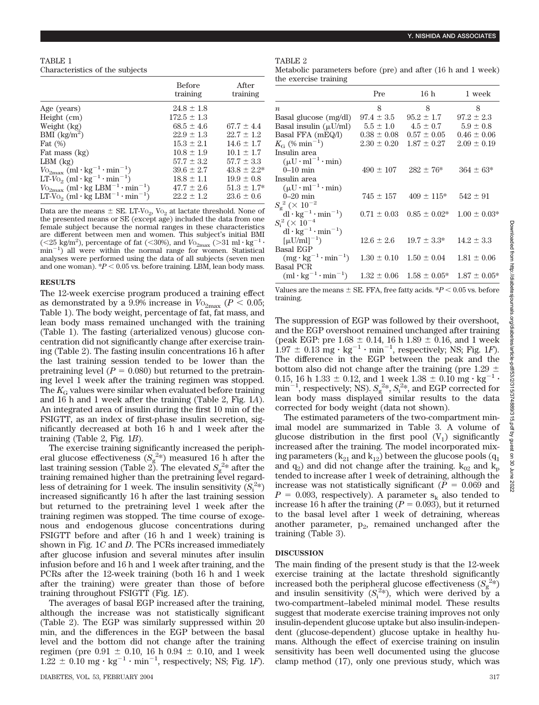TABLE 1 Characteristics of the subjects

|                                                                         | <b>Before</b><br>training | After<br>training |
|-------------------------------------------------------------------------|---------------------------|-------------------|
| Age (years)                                                             | $24.8 \pm 1.8$            |                   |
| Height (cm)                                                             | $172.5 \pm 1.3$           |                   |
| Weight (kg)                                                             | $68.5 \pm 4.6$            | $67.7 \pm 4.4$    |
| BMI $\frac{\text{kg}}{\text{m}^2}$                                      | $22.9 + 1.3$              | $22.7 + 1.2$      |
| Fat $(\%)$                                                              | $15.3 + 2.1$              | $14.6 + 1.7$      |
| Fat mass (kg)                                                           | $10.8 \pm 1.9$            | $10.1 + 1.7$      |
| $LBM$ $(kg)$                                                            | $57.7 + 3.2$              | $57.7 + 3.3$      |
| $V_{{\rm O}_{2\rm max}}$ (ml·kg <sup>-1</sup> ·min <sup>-1</sup> )      | $39.6 \pm 2.7$            | $43.8 \pm 2.2^*$  |
| LT-V <sub>O<sub>2</sub></sub> (ml·kg <sup>-1</sup> ·min <sup>-1</sup> ) | $18.8 \pm 1.1$            | $19.9 \pm 0.8$    |
| $V_{\rm O_{2max}}$ (ml·kg LBM <sup>-1</sup> ·min <sup>-1</sup> )        | $47.7 + 2.6$              | $51.3 + 1.7*$     |
| LT-V <sub>0</sub> , (ml·kg LBM <sup>-1</sup> ·min <sup>-1</sup> )       | $22.2 + 1.2$              | $23.6 \pm 0.6$    |

Data are the means  $\pm$  SE. LT-Vo<sub>2</sub>, Vo<sub>2</sub> at lactate threshold. None of the presented means or SE (except age) included the data from one female subject because the normal ranges in these characteristics are different between men and women. This subject's initial BMI (<25 kg/m<sup>2</sup>), percentage of fat (<30%), and  $V_{{\rm 02max}}$  (>31 ml·kg<sup>-1</sup>·  $\min^{-1}$  all were within the normal range for women. Statistical analyses were performed using the data of all subjects (seven men and one woman).  $*P < 0.05$  vs. before training. LBM, lean body mass.

## **RESULTS**

The 12-week exercise program produced a training effect as demonstrated by a 9.9% increase in  $V_{\text{O}_{2\text{max}}}$  ( $P < 0.05$ ; Table 1). The body weight, percentage of fat, fat mass, and lean body mass remained unchanged with the training (Table 1). The fasting (arterialized venous) glucose concentration did not significantly change after exercise training (Table 2). The fasting insulin concentrations 16 h after the last training session tended to be lower than the pretraining level  $(P = 0.080)$  but returned to the pretraining level 1 week after the training regimen was stopped. The  $K_G$  values were similar when evaluated before training and 16 h and 1 week after the training (Table 2, Fig. 1*A*). An integrated area of insulin during the first 10 min of the FSIGTT, as an index of first-phase insulin secretion, significantly decreased at both 16 h and 1 week after the training (Table 2, Fig. 1*B*).

The exercise training significantly increased the peripheral glucose effectiveness  $(S_g^{2*})$  measured 16 h after the last training session (Table 2). The elevated  $S_g^{2*}$  after the training remained higher than the pretraining level regardless of detraining for 1 week. The insulin sensitivity  $(S_i^{2*})$ increased significantly 16 h after the last training session but returned to the pretraining level 1 week after the training regimen was stopped. The time course of exogenous and endogenous glucose concentrations during FSIGTT before and after (16 h and 1 week) training is shown in Fig. 1*C* and *D*. The PCRs increased immediately after glucose infusion and several minutes after insulin infusion before and 16 h and 1 week after training, and the PCRs after the 12-week training (both 16 h and 1 week after the training) were greater than those of before training throughout FSIGTT (Fig. 1*E*).

The averages of basal EGP increased after the training, although the increase was not statistically significant (Table 2). The EGP was similarly suppressed within 20 min, and the differences in the EGP between the basal level and the bottom did not change after the training regimen (pre  $0.91 \pm 0.10$ , 16 h  $0.94 \pm 0.10$ , and 1 week  $1.22 \pm 0.10$  mg  $\cdot$  kg<sup>-1</sup>  $\cdot$  min<sup>-1</sup>, respectively; NS; Fig. 1*F*).

## TABLE 2

| Metabolic parameters before (pre) and after (16 h and 1 week) |  |  |  |  |  |
|---------------------------------------------------------------|--|--|--|--|--|
| the exercise training                                         |  |  |  |  |  |

|                                      | Pre             | 16 h                                                | 1 week           |
|--------------------------------------|-----------------|-----------------------------------------------------|------------------|
| $\boldsymbol{n}$                     | 8               | 8                                                   | 8                |
| Basal glucose (mg/dl)                | $97.4 \pm 3.5$  | $95.2 \pm 1.7$                                      | $97.2 \pm 2.3$   |
| Basal insulin $(\mu U/ml)$           |                 | $5.5 \pm 1.0$ $4.5 \pm 0.7$                         | $5.9 \pm 0.8$    |
| Basal FFA (mEQ/l)                    | $0.38 \pm 0.08$ | $0.57 \pm 0.05$                                     | $0.46 \pm 0.06$  |
| $K_{\rm G}$ (% min <sup>-1</sup> )   | $2.30 \pm 0.20$ | $1.87 \pm 0.27$                                     | $2.09 \pm 0.19$  |
| Insulin area                         |                 |                                                     |                  |
| $(\mu U \cdot ml^{-1} \cdot min)$    |                 |                                                     |                  |
| $0-10$ min                           |                 | $490 \pm 107$ $282 \pm 76^*$                        | $364 \pm 63*$    |
| Insulin area                         |                 |                                                     |                  |
| $(\mu U \cdot ml^{-1} \cdot min)$    |                 |                                                     |                  |
| $0-20$ min                           | $745 \pm 157$   | $409 \pm 115*$                                      | $542 \pm 91$     |
| $S_{\sigma}^{2}$ (× 10 <sup>-2</sup> |                 |                                                     |                  |
| $dl \cdot kg^{-1} \cdot min^{-1}$    | $0.71 \pm 0.03$ | $0.85 \pm 0.02*$                                    | $1.00 \pm 0.03*$ |
| $S_i^2 \times 10^{-4}$               |                 |                                                     |                  |
| $dl \cdot kg^{-1} \cdot min^{-1}$    |                 |                                                     |                  |
| $\lceil \mu U/ml \rceil^{-1}$        | $12.6 \pm 2.6$  | $19.7 \pm 3.3^*$                                    | $14.2 \pm 3.3$   |
| <b>Basal EGP</b>                     |                 |                                                     |                  |
| $(mg \cdot kg^{-1} \cdot min^{-1})$  |                 | $1.30 \pm 0.10$ $1.50 \pm 0.04$                     | $1.81 \pm 0.06$  |
| <b>Basal PCR</b>                     |                 |                                                     |                  |
| $(ml \cdot kg^{-1} \cdot min^{-1})$  |                 | $1.32 \pm 0.06$ $1.58 \pm 0.05^*$ $1.87 \pm 0.05^*$ |                  |

Values are the means  $\pm$  SE. FFA, free fatty acids.  $*P$  < 0.05 vs. before training.

The suppression of EGP was followed by their overshoot*,* and the EGP overshoot remained unchanged after training (peak EGP: pre  $1.68 \pm 0.14$ , 16 h  $1.89 \pm 0.16$ , and 1 week  $1.97 \pm 0.13$  mg  $\cdot$  kg<sup>-1</sup>  $\cdot$  min<sup>-1</sup>, respectively; NS; Fig. 1*F*). The difference in the EGP between the peak and the bottom also did not change after the training (pre  $1.29 \pm 0.15$ , 16 h  $1.33 \pm 0.12$ , and 1 week  $1.38 \pm 0.10$  mg  $\cdot$  kg<sup>-1</sup>  $\cdot$  $\min^{-1}$ , respectively; NS).  $S_g^{2*}$ ,  $S_i^{2*}$ , and EGP corrected for lean body mass displayed similar results to the data corrected for body weight (data not shown).

The estimated parameters of the two-compartment minimal model are summarized in Table 3. A volume of glucose distribution in the first pool  $(V_1)$  significantly increased after the training. The model incorporated mixing parameters  $(k_{21}$  and  $k_{12}$ ) between the glucose pools  $(q_1$ and  $q_2$ ) and did not change after the training.  $k_{02}$  and  $k_p$ tended to increase after 1 week of detraining, although the increase was not statistically significant ( $P = 0.069$  and  $P = 0.093$ , respectively). A parameter s<sub>k</sub> also tended to increase 16 h after the training  $(P = 0.093)$ , but it returned to the basal level after 1 week of detraining, whereas another parameter,  $p_2$ , remained unchanged after the training (Table 3).

# **DISCUSSION**

The main finding of the present study is that the 12-week exercise training at the lactate threshold significantly increased both the peripheral glucose effectiveness  $(S_g^{2*})$ and insulin sensitivity  $(S_i^{2*})$ , which were derived by a two-compartment–labeled minimal model. These results suggest that moderate exercise training improves not only insulin-dependent glucose uptake but also insulin-independent (glucose-dependent) glucose uptake in healthy humans. Although the effect of exercise training on insulin sensitivity has been well documented using the glucose clamp method (17), only one previous study, which was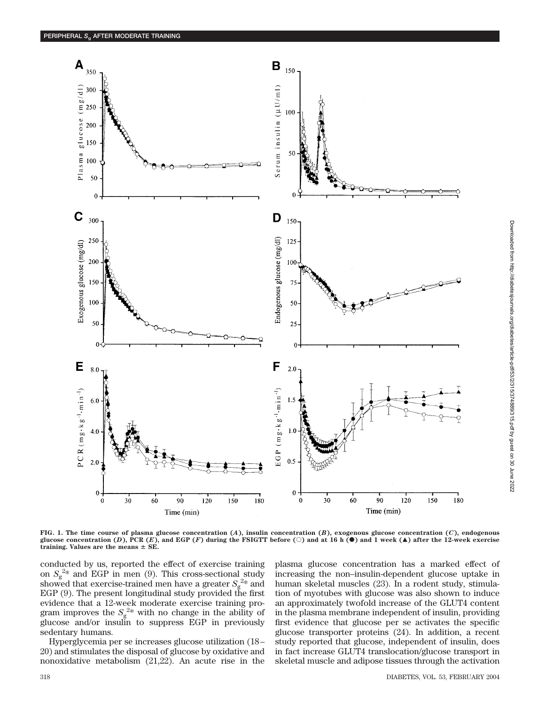

**FIG. 1. The time course of plasma glucose concentration (***A***), insulin concentration (***B***), exogenous glucose concentration (***C***), endogenous glucose concentration (D), PCR (E), and EGP (F) during the FSIGTT before (** $\circ$ **) and at 16 h (** $\bullet$ **) and 1 week (** $\blacktriangle$ **) after the 12-week exercise training. Values are the means SE.**

conducted by us, reported the effect of exercise training on  $S_g^{2*}$  and EGP in men (9). This cross-sectional study showed that exercise-trained men have a greater  $S_g^{2*}$  and EGP (9). The present longitudinal study provided the first evidence that a 12-week moderate exercise training program improves the  $S_g^{2*}$  with no change in the ability of glucose and/or insulin to suppress EGP in previously sedentary humans.

Hyperglycemia per se increases glucose utilization (18– 20) and stimulates the disposal of glucose by oxidative and nonoxidative metabolism (21,22). An acute rise in the plasma glucose concentration has a marked effect of increasing the non–insulin-dependent glucose uptake in human skeletal muscles (23). In a rodent study, stimulation of myotubes with glucose was also shown to induce an approximately twofold increase of the GLUT4 content in the plasma membrane independent of insulin, providing first evidence that glucose per se activates the specific glucose transporter proteins (24). In addition, a recent study reported that glucose, independent of insulin, does in fact increase GLUT4 translocation/glucose transport in skeletal muscle and adipose tissues through the activation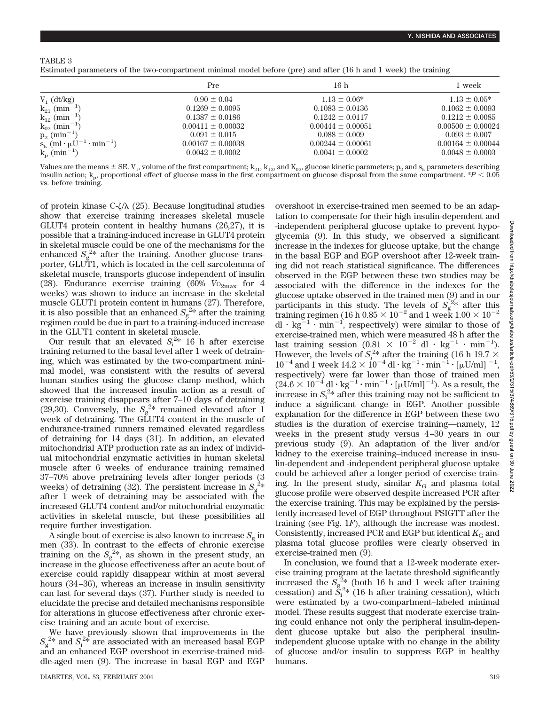Estimated parameters of the two-compartment minimal model before (pre) and after (16 h and 1 week) the training

|                                                | Pre                   | 16 <sub>h</sub>       | 1 week                |
|------------------------------------------------|-----------------------|-----------------------|-----------------------|
| $V_1$ (dt/kg)                                  | $0.90 \pm 0.04$       | $1.13 \pm 0.06*$      | $1.13 \pm 0.05^*$     |
| $k_{21}$ (min <sup>-1</sup> )                  | $0.1269 \pm 0.0095$   | $0.1083 \pm 0.0136$   | $0.1062 \pm 0.0093$   |
| $k_{12}$ (min <sup>-1</sup> )                  | $0.1387 \pm 0.0186$   | $0.1242 \pm 0.0117$   | $0.1212 \pm 0.0085$   |
| $k_{02}$ (min <sup>-1</sup> )                  | $0.00411 \pm 0.00032$ | $0.00444 \pm 0.00051$ | $0.00500 \pm 0.00024$ |
| $p_2$ (min <sup>-1</sup> )                     | $0.091 \pm 0.015$     | $0.088 \pm 0.009$     | $0.093 \pm 0.007$     |
| $S_k$ (ml $\cdot \mu U^{-1} \cdot \min^{-1}$ ) | $0.00167 \pm 0.00038$ | $0.00244 \pm 0.00061$ | $0.00164 \pm 0.00044$ |
| $k_p$ (min <sup>-1</sup> )                     | $0.0042 \pm 0.0002$   | $0.0041 \pm 0.0002$   | $0.0048 \pm 0.0003$   |

Values are the means  $\pm$  SE. V<sub>1</sub>, volume of the first compartment; k<sub>21</sub>, k<sub>12</sub>, and K<sub>02</sub>, glucose kinetic parameters; p<sub>2</sub> and s<sub>k</sub> parameters describing insulin action;  $k_p$  proportional effect of glucose mass in the first compartment on glucose disposal from the same compartment.  $P < 0.05$ vs. before training.

of protein kinase C- $\zeta/\lambda$  (25). Because longitudinal studies show that exercise training increases skeletal muscle GLUT4 protein content in healthy humans (26,27), it is possible that a training-induced increase in GLUT4 protein in skeletal muscle could be one of the mechanisms for the enhanced  $S_g^{2*}$  after the training. Another glucose transporter, GLUT1, which is located in the cell sarcolemma of skeletal muscle, transports glucose independent of insulin (28). Endurance exercise training (60%  $V_{{\rm O}_{2\rm max}}$  for 4 weeks) was shown to induce an increase in the skeletal muscle GLUT1 protein content in humans (27). Therefore, it is also possible that an enhanced  $S_g^{2*}$  after the training regimen could be due in part to a training-induced increase in the GLUT1 content in skeletal muscle.

Our result that an elevated  $S_i^{2*}$  16 h after exercise training returned to the basal level after 1 week of detraining, which was estimated by the two-compartment minimal model, was consistent with the results of several human studies using the glucose clamp method, which showed that the increased insulin action as a result of exercise training disappears after 7–10 days of detraining (29,30). Conversely, the  $S_g^{2*}$  remained elevated after 1 week of detraining. The GLUT4 content in the muscle of endurance-trained runners remained elevated regardless of detraining for 14 days (31). In addition, an elevated mitochondrial ATP production rate as an index of individual mitochondrial enzymatic activities in human skeletal muscle after 6 weeks of endurance training remained 37–70% above pretraining levels after longer periods (3 weeks) of detraining (32). The persistent increase in  $S_g^{\,2*}$ after 1 week of detraining may be associated with the increased GLUT4 content and/or mitochondrial enzymatic activities in skeletal muscle, but these possibilities all require further investigation.

A single bout of exercise is also known to increase  $S<sub>g</sub>$  in men (33). In contrast to the effects of chronic exercise training on the  $S_g^{2*}$ , as shown in the present study, an increase in the glucose effectiveness after an acute bout of exercise could rapidly disappear within at most several hours (34–36), whereas an increase in insulin sensitivity can last for several days (37). Further study is needed to elucidate the precise and detailed mechanisms responsible for alterations in glucose effectiveness after chronic exercise training and an acute bout of exercise.

We have previously shown that improvements in the  $S_{\rm g}^{2*}$  and  $S_{\rm i}^{2*}$  are associated with an increased basal EGP and an enhanced EGP overshoot in exercise-trained middle-aged men (9). The increase in basal EGP and EGP overshoot in exercise-trained men seemed to be an adaptation to compensate for their high insulin-dependent and -independent peripheral glucose uptake to prevent hypoglycemia (9). In this study, we observed a significant increase in the indexes for glucose uptake, but the change in the basal EGP and EGP overshoot after 12-week training did not reach statistical significance. The differences observed in the EGP between these two studies may be associated with the difference in the indexes for the glucose uptake observed in the trained men (9) and in our participants in this study. The levels of  $S_g^{2*}$  after this training regimen (16 h 0.85  $\times$  10 $^{-2}$  and 1 week 1.00  $\times$  10 $^{-2}$ dl  $\cdot$  kg<sup>-1</sup>  $\cdot$  min<sup>-1</sup>, respectively) were similar to those of exercise-trained men, which were measured 48 h after the last training session  $(0.81 \times 10^{-2} \text{ d} \cdot \text{kg}^{-1} \cdot \text{min}^{-1})$ . However, the levels of  $S_i^{2*}$  after the training (16 h 19.7  $\times$  $10^{-4}$  and 1 week  $14.2 \times 10^{-4}$  dl  $\cdot$  kg<sup>-1</sup> $\cdot$  min<sup>-1</sup> $\cdot$  [ $\mu$ U/ml]<sup>-1</sup>, respectively) were far lower than those of trained men  $(24.6 \times 10^{-4}$  dl  $\cdot$  kg<sup>-1</sup> $\cdot$  min<sup>-1</sup> $\cdot$  [µU/ml]<sup>-1</sup>). As a result, the increase in  $S_i^{2*}$  after this training may not be sufficient to induce a significant change in EGP. Another possible explanation for the difference in EGP between these two studies is the duration of exercise training—namely, 12 weeks in the present study versus 4–30 years in our previous study (9). An adaptation of the liver and/or kidney to the exercise training–induced increase in insulin-dependent and -independent peripheral glucose uptake could be achieved after a longer period of exercise training. In the present study, similar  $K_G$  and plasma total glucose profile were observed despite increased PCR after the exercise training. This may be explained by the persistently increased level of EGP throughout FSIGTT after the training (see Fig. 1*F*), although the increase was modest. Consistently, increased PCR and EGP but identical  $K<sub>G</sub>$  and plasma total glucose profiles were clearly observed in exercise-trained men (9).

In conclusion, we found that a 12-week moderate exercise training program at the lactate threshold significantly increased the  $S_{g}^{\frac{2}{2}*}$  (both 16 h and 1 week after training cessation) and  $\tilde{S}_i^{2*}$  (16 h after training cessation), which were estimated by a two-compartment–labeled minimal model. These results suggest that moderate exercise training could enhance not only the peripheral insulin-dependent glucose uptake but also the peripheral insulinindependent glucose uptake with no change in the ability of glucose and/or insulin to suppress EGP in healthy humans.